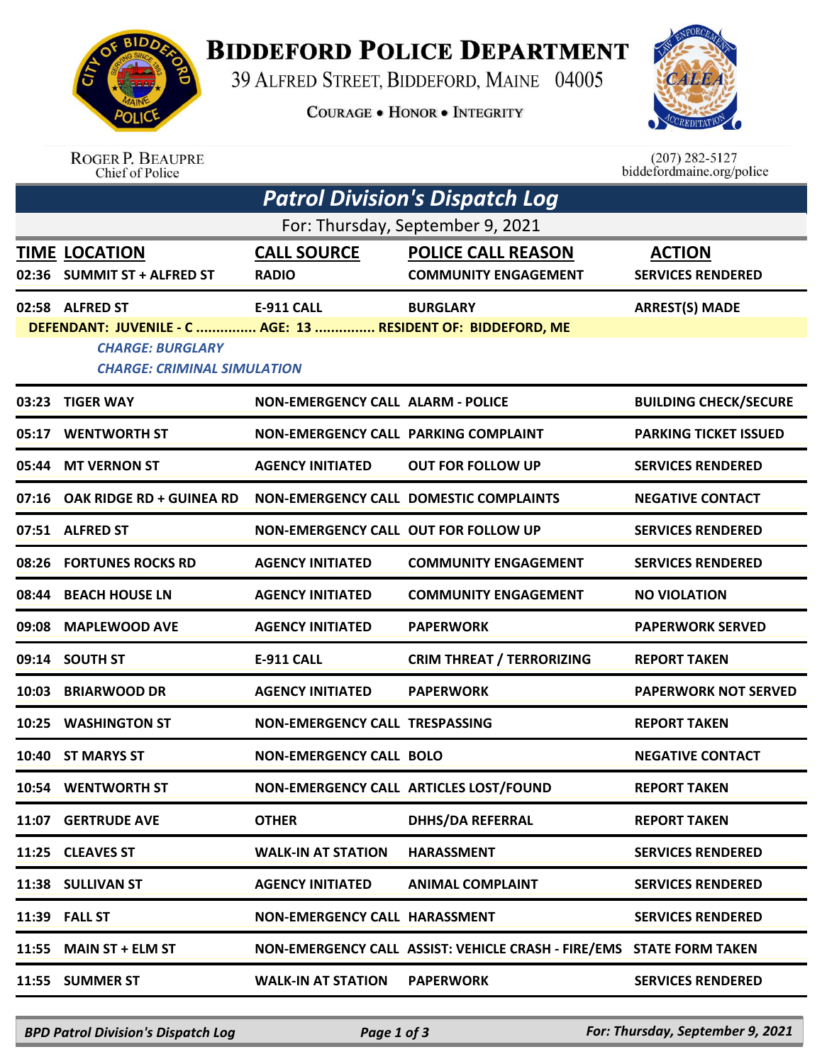

## **BIDDEFORD POLICE DEPARTMENT**

39 ALFRED STREET, BIDDEFORD, MAINE 04005

**COURAGE . HONOR . INTEGRITY** 



| <b>ROGER P. BEAUPRE</b> |
|-------------------------|
| Chief of Police         |

 $(207)$  282-5127<br>biddefordmaine.org/police

| <b>Patrol Division's Dispatch Log</b> |                                                                                                            |                                             |                                                                      |                                           |  |  |  |  |  |  |
|---------------------------------------|------------------------------------------------------------------------------------------------------------|---------------------------------------------|----------------------------------------------------------------------|-------------------------------------------|--|--|--|--|--|--|
| For: Thursday, September 9, 2021      |                                                                                                            |                                             |                                                                      |                                           |  |  |  |  |  |  |
|                                       | <b>TIME LOCATION</b><br>02:36 SUMMIT ST + ALFRED ST                                                        | <b>CALL SOURCE</b><br><b>RADIO</b>          | <b>POLICE CALL REASON</b><br><b>COMMUNITY ENGAGEMENT</b>             | <b>ACTION</b><br><b>SERVICES RENDERED</b> |  |  |  |  |  |  |
|                                       | 02:58 ALFRED ST<br>DEFENDANT: JUVENILE - C  AGE: 13  RESIDENT OF: BIDDEFORD, ME<br><b>CHARGE: BURGLARY</b> | <b>E-911 CALL</b>                           | <b>BURGLARY</b>                                                      | <b>ARREST(S) MADE</b>                     |  |  |  |  |  |  |
|                                       | <b>CHARGE: CRIMINAL SIMULATION</b>                                                                         |                                             |                                                                      |                                           |  |  |  |  |  |  |
| 03:23                                 | <b>TIGER WAY</b>                                                                                           | <b>NON-EMERGENCY CALL ALARM - POLICE</b>    |                                                                      | <b>BUILDING CHECK/SECURE</b>              |  |  |  |  |  |  |
| 05:17                                 | <b>WENTWORTH ST</b>                                                                                        | NON-EMERGENCY CALL PARKING COMPLAINT        |                                                                      | <b>PARKING TICKET ISSUED</b>              |  |  |  |  |  |  |
| 05:44                                 | <b>MT VERNON ST</b>                                                                                        | <b>AGENCY INITIATED</b>                     | <b>OUT FOR FOLLOW UP</b>                                             | <b>SERVICES RENDERED</b>                  |  |  |  |  |  |  |
| 07:16                                 | OAK RIDGE RD + GUINEA RD                                                                                   |                                             | NON-EMERGENCY CALL DOMESTIC COMPLAINTS                               | <b>NEGATIVE CONTACT</b>                   |  |  |  |  |  |  |
|                                       | 07:51 ALFRED ST                                                                                            | <b>NON-EMERGENCY CALL OUT FOR FOLLOW UP</b> |                                                                      | <b>SERVICES RENDERED</b>                  |  |  |  |  |  |  |
|                                       | 08:26 FORTUNES ROCKS RD                                                                                    | <b>AGENCY INITIATED</b>                     | <b>COMMUNITY ENGAGEMENT</b>                                          | <b>SERVICES RENDERED</b>                  |  |  |  |  |  |  |
| 08:44                                 | <b>BEACH HOUSE LN</b>                                                                                      | <b>AGENCY INITIATED</b>                     | <b>COMMUNITY ENGAGEMENT</b>                                          | <b>NO VIOLATION</b>                       |  |  |  |  |  |  |
| 09:08                                 | <b>MAPLEWOOD AVE</b>                                                                                       | <b>AGENCY INITIATED</b>                     | <b>PAPERWORK</b>                                                     | <b>PAPERWORK SERVED</b>                   |  |  |  |  |  |  |
|                                       | 09:14 SOUTH ST                                                                                             | <b>E-911 CALL</b>                           | <b>CRIM THREAT / TERRORIZING</b>                                     | <b>REPORT TAKEN</b>                       |  |  |  |  |  |  |
| 10:03                                 | <b>BRIARWOOD DR</b>                                                                                        | <b>AGENCY INITIATED</b>                     | <b>PAPERWORK</b>                                                     | <b>PAPERWORK NOT SERVED</b>               |  |  |  |  |  |  |
| 10:25                                 | <b>WASHINGTON ST</b>                                                                                       | NON-EMERGENCY CALL TRESPASSING              |                                                                      | <b>REPORT TAKEN</b>                       |  |  |  |  |  |  |
|                                       | 10:40 ST MARYS ST                                                                                          | <b>NON-EMERGENCY CALL BOLO</b>              |                                                                      | <b>NEGATIVE CONTACT</b>                   |  |  |  |  |  |  |
|                                       | 10:54 WENTWORTH ST                                                                                         |                                             | NON-EMERGENCY CALL ARTICLES LOST/FOUND                               | <b>REPORT TAKEN</b>                       |  |  |  |  |  |  |
|                                       | 11:07 GERTRUDE AVE                                                                                         | <b>OTHER</b>                                | <b>DHHS/DA REFERRAL</b>                                              | <b>REPORT TAKEN</b>                       |  |  |  |  |  |  |
|                                       | 11:25 CLEAVES ST                                                                                           | <b>WALK-IN AT STATION</b>                   | <b>HARASSMENT</b>                                                    | <b>SERVICES RENDERED</b>                  |  |  |  |  |  |  |
|                                       | 11:38 SULLIVAN ST                                                                                          | <b>AGENCY INITIATED</b>                     | <b>ANIMAL COMPLAINT</b>                                              | <b>SERVICES RENDERED</b>                  |  |  |  |  |  |  |
|                                       | 11:39 FALL ST                                                                                              | NON-EMERGENCY CALL HARASSMENT               |                                                                      | <b>SERVICES RENDERED</b>                  |  |  |  |  |  |  |
|                                       | 11:55 MAIN ST + ELM ST                                                                                     |                                             | NON-EMERGENCY CALL ASSIST: VEHICLE CRASH - FIRE/EMS STATE FORM TAKEN |                                           |  |  |  |  |  |  |
|                                       | 11:55 SUMMER ST                                                                                            | <b>WALK-IN AT STATION</b>                   | <b>PAPERWORK</b>                                                     | <b>SERVICES RENDERED</b>                  |  |  |  |  |  |  |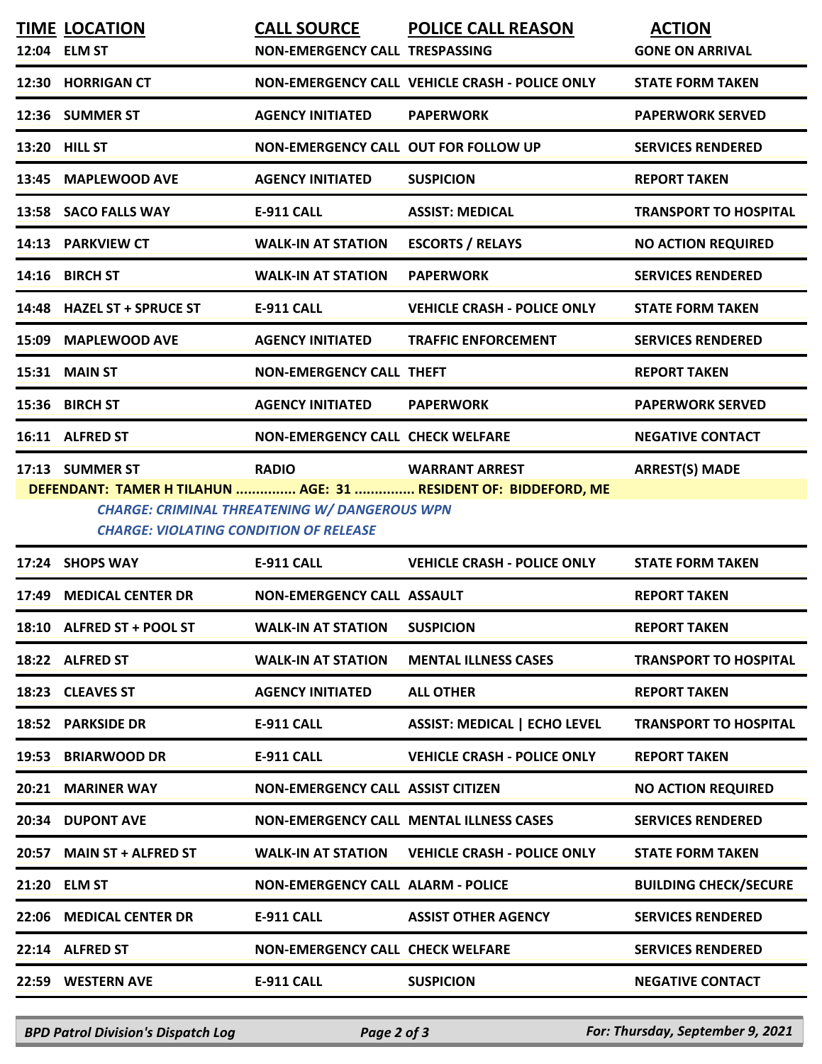|       | <b>TIME LOCATION</b><br>12:04 ELM ST          | <b>CALL SOURCE</b><br><b>NON-EMERGENCY CALL TRESPASSING</b> | <b>POLICE CALL REASON</b>                                                                | <b>ACTION</b><br><b>GONE ON ARRIVAL</b> |
|-------|-----------------------------------------------|-------------------------------------------------------------|------------------------------------------------------------------------------------------|-----------------------------------------|
|       | 12:30 HORRIGAN CT                             |                                                             | NON-EMERGENCY CALL VEHICLE CRASH - POLICE ONLY                                           | <b>STATE FORM TAKEN</b>                 |
|       | 12:36 SUMMER ST                               | <b>AGENCY INITIATED</b>                                     | <b>PAPERWORK</b>                                                                         | <b>PAPERWORK SERVED</b>                 |
|       | 13:20 HILL ST                                 | NON-EMERGENCY CALL OUT FOR FOLLOW UP                        |                                                                                          | <b>SERVICES RENDERED</b>                |
| 13:45 | <b>MAPLEWOOD AVE</b>                          | <b>AGENCY INITIATED</b>                                     | <b>SUSPICION</b>                                                                         | <b>REPORT TAKEN</b>                     |
|       | 13:58 SACO FALLS WAY                          | <b>E-911 CALL</b>                                           | <b>ASSIST: MEDICAL</b>                                                                   | <b>TRANSPORT TO HOSPITAL</b>            |
|       | 14:13 PARKVIEW CT                             | <b>WALK-IN AT STATION</b>                                   | <b>ESCORTS / RELAYS</b>                                                                  | <b>NO ACTION REQUIRED</b>               |
|       | 14:16 BIRCH ST                                | <b>WALK-IN AT STATION</b>                                   | <b>PAPERWORK</b>                                                                         | <b>SERVICES RENDERED</b>                |
|       | 14:48 HAZEL ST + SPRUCE ST                    | <b>E-911 CALL</b>                                           | <b>VEHICLE CRASH - POLICE ONLY</b>                                                       | <b>STATE FORM TAKEN</b>                 |
| 15:09 | <b>MAPLEWOOD AVE</b>                          | <b>AGENCY INITIATED</b>                                     | <b>TRAFFIC ENFORCEMENT</b>                                                               | <b>SERVICES RENDERED</b>                |
|       | <b>15:31 MAIN ST</b>                          | <b>NON-EMERGENCY CALL THEFT</b>                             |                                                                                          | <b>REPORT TAKEN</b>                     |
|       | 15:36 BIRCH ST                                | <b>AGENCY INITIATED</b>                                     | <b>PAPERWORK</b>                                                                         | <b>PAPERWORK SERVED</b>                 |
|       | 16:11 ALFRED ST                               | <b>NON-EMERGENCY CALL CHECK WELFARE</b>                     |                                                                                          | <b>NEGATIVE CONTACT</b>                 |
|       | 17:13 SUMMER ST                               | <b>RADIO</b>                                                | <b>WARRANT ARREST</b><br>DEFENDANT: TAMER H TILAHUN  AGE: 31  RESIDENT OF: BIDDEFORD, ME | <b>ARREST(S) MADE</b>                   |
|       | <b>CHARGE: VIOLATING CONDITION OF RELEASE</b> | <b>CHARGE: CRIMINAL THREATENING W/ DANGEROUS WPN</b>        |                                                                                          |                                         |
| 17:24 | <b>SHOPS WAY</b>                              | <b>E-911 CALL</b>                                           | <b>VEHICLE CRASH - POLICE ONLY</b>                                                       | <b>STATE FORM TAKEN</b>                 |
| 17:49 | <b>MEDICAL CENTER DR</b>                      | NON-EMERGENCY CALL ASSAULT                                  |                                                                                          | <b>REPORT TAKEN</b>                     |
|       | 18:10 ALFRED ST + POOL ST                     | <b>WALK-IN AT STATION</b>                                   | <b>SUSPICION</b>                                                                         | <b>REPORT TAKEN</b>                     |
|       | 18:22 ALFRED ST                               | <b>WALK-IN AT STATION</b>                                   | <b>MENTAL ILLNESS CASES</b>                                                              | <b>TRANSPORT TO HOSPITAL</b>            |
|       | 18:23 CLEAVES ST                              | <b>AGENCY INITIATED</b>                                     | <b>ALL OTHER</b>                                                                         | <b>REPORT TAKEN</b>                     |
|       | 18:52 PARKSIDE DR                             | <b>E-911 CALL</b>                                           | <b>ASSIST: MEDICAL   ECHO LEVEL</b>                                                      | <b>TRANSPORT TO HOSPITAL</b>            |
|       | 19:53 BRIARWOOD DR                            | <b>E-911 CALL</b>                                           | <b>VEHICLE CRASH - POLICE ONLY</b>                                                       | <b>REPORT TAKEN</b>                     |
|       | 20:21 MARINER WAY                             | <b>NON-EMERGENCY CALL ASSIST CITIZEN</b>                    |                                                                                          | <b>NO ACTION REQUIRED</b>               |
|       | 20:34 DUPONT AVE                              |                                                             | <b>NON-EMERGENCY CALL MENTAL ILLNESS CASES</b>                                           | <b>SERVICES RENDERED</b>                |
|       | 20:57 MAIN ST + ALFRED ST                     | <b>WALK-IN AT STATION</b>                                   | <b>VEHICLE CRASH - POLICE ONLY</b>                                                       | <b>STATE FORM TAKEN</b>                 |
|       | 21:20 ELM ST                                  | <b>NON-EMERGENCY CALL ALARM - POLICE</b>                    |                                                                                          | <b>BUILDING CHECK/SECURE</b>            |
|       | 22:06 MEDICAL CENTER DR                       | <b>E-911 CALL</b>                                           | <b>ASSIST OTHER AGENCY</b>                                                               | <b>SERVICES RENDERED</b>                |
|       | 22:14 ALFRED ST                               | <b>NON-EMERGENCY CALL CHECK WELFARE</b>                     |                                                                                          | <b>SERVICES RENDERED</b>                |
|       | 22:59 WESTERN AVE                             | <b>E-911 CALL</b>                                           | <b>SUSPICION</b>                                                                         | <b>NEGATIVE CONTACT</b>                 |

*BPD Patrol Division's Dispatch Log Page 2 of 3 For: Thursday, September 9, 2021*